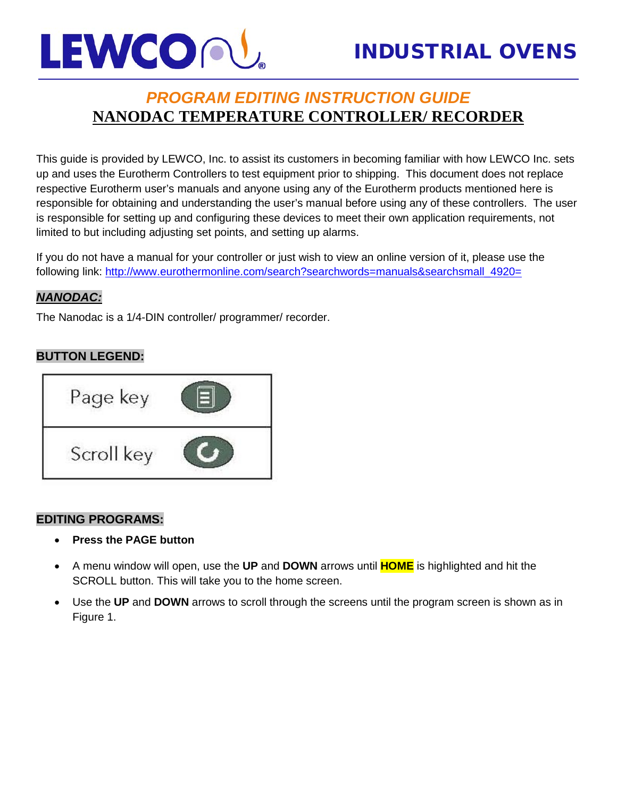# LEWCOPU

## *PROGRAM EDITING INSTRUCTION GUIDE* **NANODAC TEMPERATURE CONTROLLER/ RECORDER**

This guide is provided by LEWCO, Inc. to assist its customers in becoming familiar with how LEWCO Inc. sets up and uses the Eurotherm Controllers to test equipment prior to shipping. This document does not replace respective Eurotherm user's manuals and anyone using any of the Eurotherm products mentioned here is responsible for obtaining and understanding the user's manual before using any of these controllers. The user is responsible for setting up and configuring these devices to meet their own application requirements, not limited to but including adjusting set points, and setting up alarms.

If you do not have a manual for your controller or just wish to view an online version of it, please use the following link: [http://www.eurothermonline.com/search?searchwords=manuals&searchsmall\\_4920=](http://www.eurothermonline.com/search?searchwords=manuals&searchsmall_4920=)

### *NANODAC:*

The Nanodac is a 1/4-DIN controller/ programmer/ recorder.

### **BUTTON LEGEND:**



### **EDITING PROGRAMS:**

- **Press the PAGE button**
- A menu window will open, use the **UP** and **DOWN** arrows until **HOME** is highlighted and hit the SCROLL button. This will take you to the home screen.
- Use the **UP** and **DOWN** arrows to scroll through the screens until the program screen is shown as in Figure 1.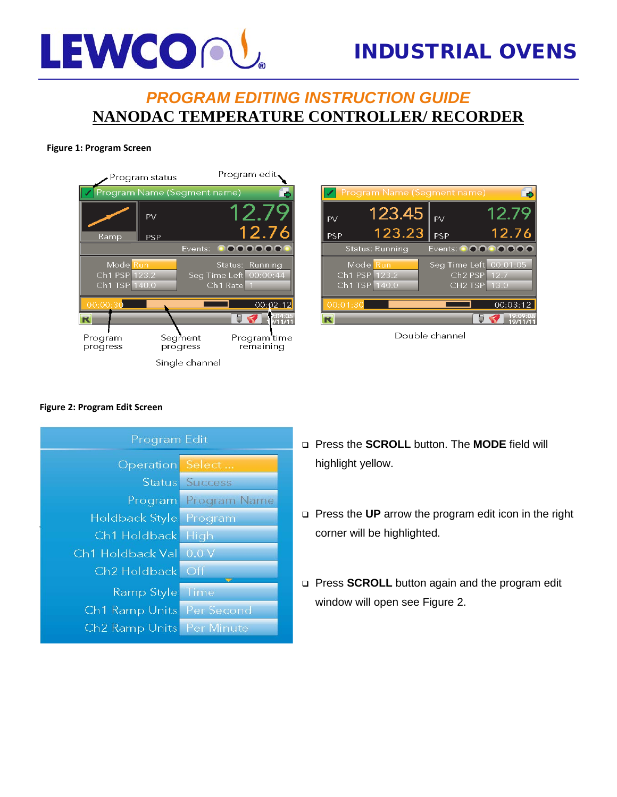# LEWCOPU

## INDUSTRIAL OVENS

## *PROGRAM EDITING INSTRUCTION GUIDE* **NANODAC TEMPERATURE CONTROLLER/ RECORDER**

#### **Figure 1: Program Screen**







#### **Figure 2: Program Edit Screen**



- Press the **SCROLL** button. The **MODE** field will highlight yellow.
- Press the **UP** arrow the program edit icon in the right corner will be highlighted.
- **Press SCROLL** button again and the program edit window will open see Figure 2.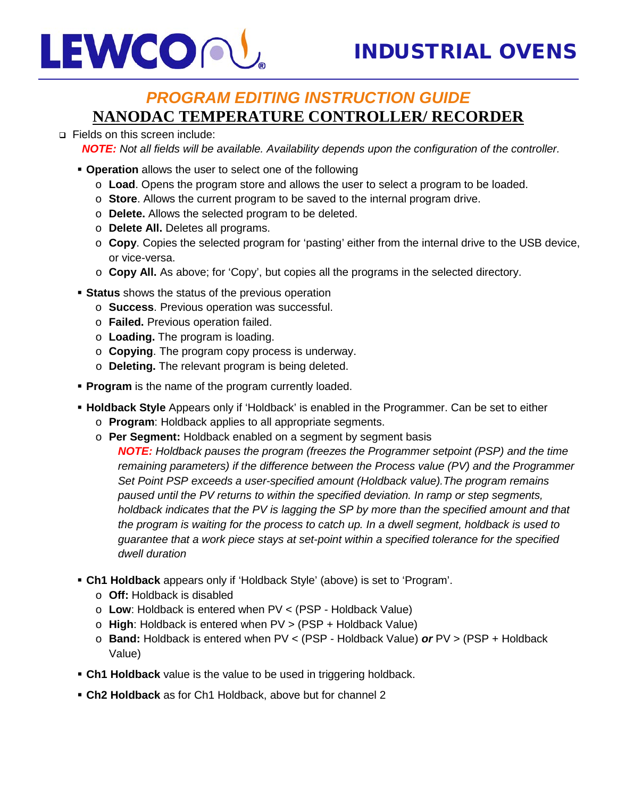## LEWCOPU

## *PROGRAM EDITING INSTRUCTION GUIDE* **NANODAC TEMPERATURE CONTROLLER/ RECORDER**

#### □ Fields on this screen include:

*NOTE: Not all fields will be available. Availability depends upon the configuration of the controller.*

- **Operation** allows the user to select one of the following
	- o **Load**. Opens the program store and allows the user to select a program to be loaded.
	- o **Store**. Allows the current program to be saved to the internal program drive.
	- o **Delete.** Allows the selected program to be deleted.
	- o **Delete All.** Deletes all programs.
	- o **Copy**. Copies the selected program for 'pasting' either from the internal drive to the USB device, or vice-versa.
	- o **Copy All.** As above; for 'Copy', but copies all the programs in the selected directory.
- **Status** shows the status of the previous operation
	- o **Success**. Previous operation was successful.
	- o **Failed.** Previous operation failed.
	- o **Loading.** The program is loading.
	- o **Copying**. The program copy process is underway.
	- o **Deleting.** The relevant program is being deleted.
- **Program** is the name of the program currently loaded.
- **Holdback Style** Appears only if 'Holdback' is enabled in the Programmer. Can be set to either
	- o **Program**: Holdback applies to all appropriate segments.
	- o **Per Segment:** Holdback enabled on a segment by segment basis
		- *NOTE: Holdback pauses the program (freezes the Programmer setpoint (PSP) and the time remaining parameters) if the difference between the Process value (PV) and the Programmer Set Point PSP exceeds a user-specified amount (Holdback value).The program remains paused until the PV returns to within the specified deviation. In ramp or step segments, holdback indicates that the PV is lagging the SP by more than the specified amount and that the program is waiting for the process to catch up. In a dwell segment, holdback is used to guarantee that a work piece stays at set-point within a specified tolerance for the specified dwell duration*
- **Ch1 Holdback** appears only if 'Holdback Style' (above) is set to 'Program'.
	- o **Off:** Holdback is disabled
	- o **Low**: Holdback is entered when PV < (PSP Holdback Value)
	- o **High**: Holdback is entered when PV > (PSP + Holdback Value)
	- o **Band:** Holdback is entered when PV < (PSP Holdback Value) *or* PV > (PSP + Holdback Value)
- **Ch1 Holdback** value is the value to be used in triggering holdback.
- **Ch2 Holdback** as for Ch1 Holdback, above but for channel 2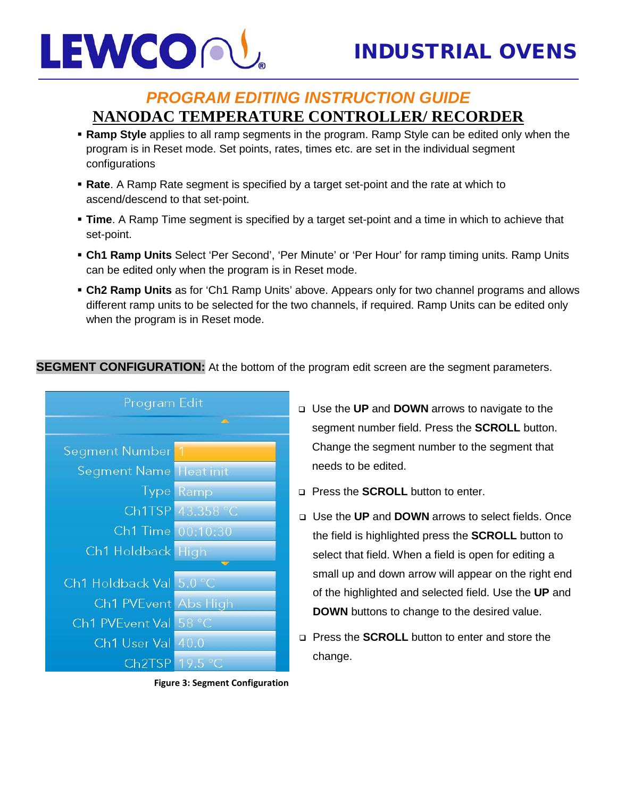

- **Ramp Style** applies to all ramp segments in the program. Ramp Style can be edited only when the program is in Reset mode. Set points, rates, times etc. are set in the individual segment configurations
- **Rate**. A Ramp Rate segment is specified by a target set-point and the rate at which to ascend/descend to that set-point.
- **Time**. A Ramp Time segment is specified by a target set-point and a time in which to achieve that set-point.
- **Ch1 Ramp Units** Select 'Per Second', 'Per Minute' or 'Per Hour' for ramp timing units. Ramp Units can be edited only when the program is in Reset mode.
- **Ch2 Ramp Units** as for 'Ch1 Ramp Units' above. Appears only for two channel programs and allows different ramp units to be selected for the two channels, if required. Ramp Units can be edited only when the program is in Reset mode.

### **SEGMENT CONFIGURATION:** At the bottom of the program edit screen are the segment parameters.



**Figure 3: Segment Configuration** 

- Use the **UP** and **DOWN** arrows to navigate to the segment number field. Press the **SCROLL** button. Change the segment number to the segment that needs to be edited.
- **Press the <b>SCROLL** button to enter.
- Use the **UP** and **DOWN** arrows to select fields. Once the field is highlighted press the **SCROLL** button to select that field. When a field is open for editing a small up and down arrow will appear on the right end of the highlighted and selected field. Use the **UP** and **DOWN** buttons to change to the desired value.
- **Press the SCROLL** button to enter and store the change.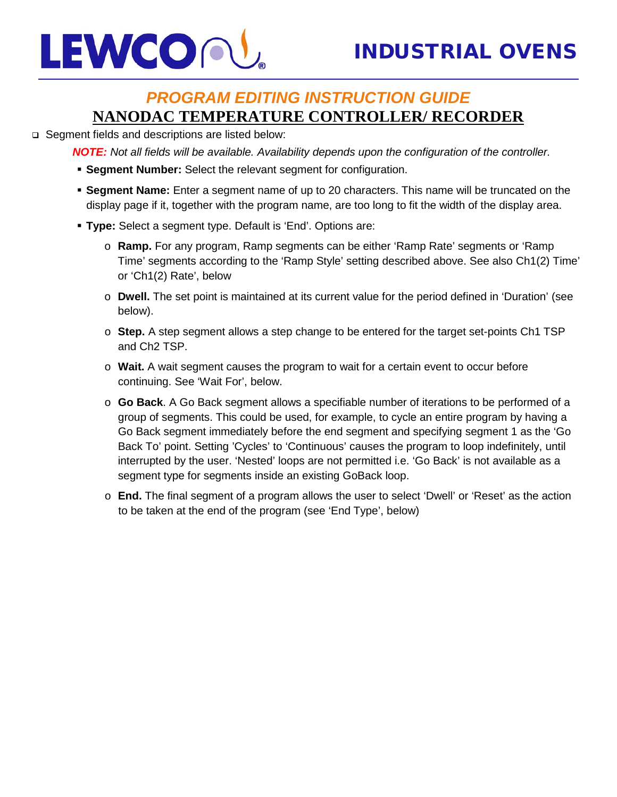

### □ Segment fields and descriptions are listed below:

*NOTE: Not all fields will be available. Availability depends upon the configuration of the controller.*

- **Segment Number:** Select the relevant segment for configuration.
- **Segment Name:** Enter a segment name of up to 20 characters. This name will be truncated on the display page if it, together with the program name, are too long to fit the width of the display area.
- **Type:** Select a segment type. Default is 'End'. Options are:
	- o **Ramp.** For any program, Ramp segments can be either 'Ramp Rate' segments or 'Ramp Time' segments according to the 'Ramp Style' setting described above. See also Ch1(2) Time' or 'Ch1(2) Rate', below
	- o **Dwell.** The set point is maintained at its current value for the period defined in 'Duration' (see below).
	- o **Step.** A step segment allows a step change to be entered for the target set-points Ch1 TSP and Ch2 TSP.
	- o **Wait.** A wait segment causes the program to wait for a certain event to occur before continuing. See 'Wait For', below.
	- o **Go Back**. A Go Back segment allows a specifiable number of iterations to be performed of a group of segments. This could be used, for example, to cycle an entire program by having a Go Back segment immediately before the end segment and specifying segment 1 as the 'Go Back To' point. Setting 'Cycles' to 'Continuous' causes the program to loop indefinitely, until interrupted by the user. 'Nested' loops are not permitted i.e. 'Go Back' is not available as a segment type for segments inside an existing GoBack loop.
	- o **End.** The final segment of a program allows the user to select 'Dwell' or 'Reset' as the action to be taken at the end of the program (see 'End Type', below)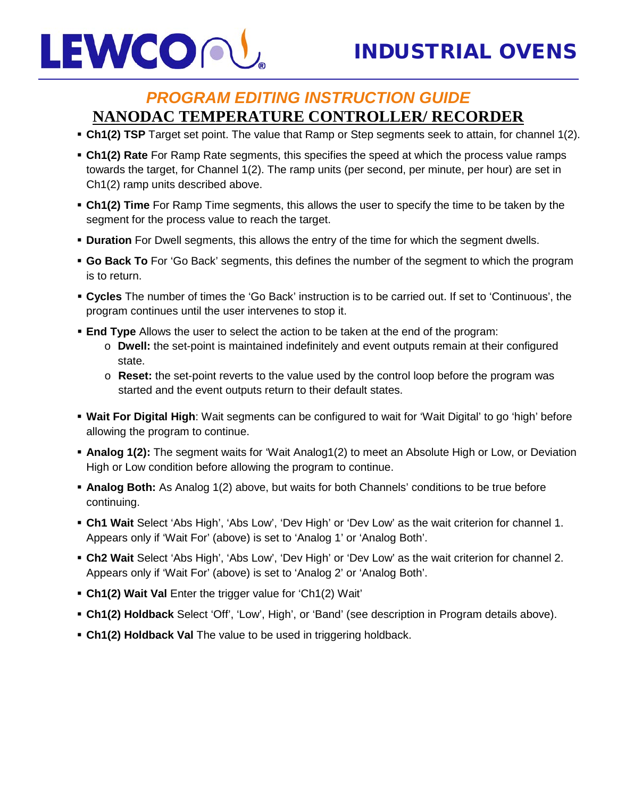

- **Ch1(2) TSP** Target set point. The value that Ramp or Step segments seek to attain, for channel 1(2).
- **Ch1(2) Rate** For Ramp Rate segments, this specifies the speed at which the process value ramps towards the target, for Channel 1(2). The ramp units (per second, per minute, per hour) are set in Ch1(2) ramp units described above.
- **Ch1(2) Time** For Ramp Time segments, this allows the user to specify the time to be taken by the segment for the process value to reach the target.
- **Duration** For Dwell segments, this allows the entry of the time for which the segment dwells.
- **Go Back To** For 'Go Back' segments, this defines the number of the segment to which the program is to return.
- **Cycles** The number of times the 'Go Back' instruction is to be carried out. If set to 'Continuous', the program continues until the user intervenes to stop it.
- **End Type** Allows the user to select the action to be taken at the end of the program:
	- o **Dwell:** the set-point is maintained indefinitely and event outputs remain at their configured state.
	- o **Reset:** the set-point reverts to the value used by the control loop before the program was started and the event outputs return to their default states.
- **Wait For Digital High**: Wait segments can be configured to wait for 'Wait Digital' to go 'high' before allowing the program to continue.
- **Analog 1(2):** The segment waits for 'Wait Analog1(2) to meet an Absolute High or Low, or Deviation High or Low condition before allowing the program to continue.
- **Analog Both:** As Analog 1(2) above, but waits for both Channels' conditions to be true before continuing.
- **Ch1 Wait** Select 'Abs High', 'Abs Low', 'Dev High' or 'Dev Low' as the wait criterion for channel 1. Appears only if 'Wait For' (above) is set to 'Analog 1' or 'Analog Both'.
- **Ch2 Wait** Select 'Abs High', 'Abs Low', 'Dev High' or 'Dev Low' as the wait criterion for channel 2. Appears only if 'Wait For' (above) is set to 'Analog 2' or 'Analog Both'.
- **Ch1(2) Wait Val** Enter the trigger value for 'Ch1(2) Wait'
- **Ch1(2) Holdback** Select 'Off', 'Low', High', or 'Band' (see description in Program details above).
- **Ch1(2) Holdback Val** The value to be used in triggering holdback.